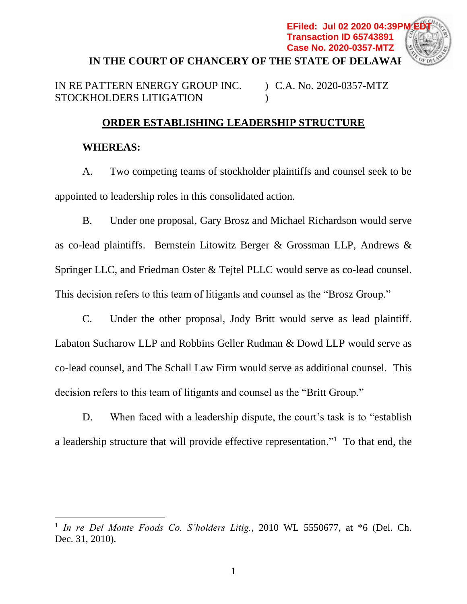

IN RE PATTERN ENERGY GROUP INC. STOCKHOLDERS LITIGATION ) C.A. No. 2020-0357-MTZ )

## **ORDER ESTABLISHING LEADERSHIP STRUCTURE**

## **WHEREAS:**

A. Two competing teams of stockholder plaintiffs and counsel seek to be appointed to leadership roles in this consolidated action.

B. Under one proposal, Gary Brosz and Michael Richardson would serve as co-lead plaintiffs. Bernstein Litowitz Berger & Grossman LLP, Andrews & Springer LLC, and Friedman Oster & Tejtel PLLC would serve as co-lead counsel. This decision refers to this team of litigants and counsel as the "Brosz Group."

C. Under the other proposal, Jody Britt would serve as lead plaintiff. Labaton Sucharow LLP and Robbins Geller Rudman & Dowd LLP would serve as co-lead counsel, and The Schall Law Firm would serve as additional counsel. This decision refers to this team of litigants and counsel as the "Britt Group."

D. When faced with a leadership dispute, the court's task is to "establish a leadership structure that will provide effective representation."<sup>1</sup> To that end, the

 1 *In re Del Monte Foods Co. S'holders Litig.*, 2010 WL 5550677, at \*6 (Del. Ch. Dec. 31, 2010).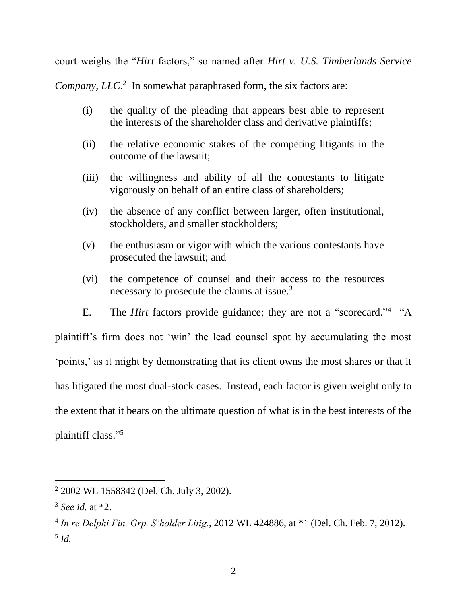court weighs the "*Hirt* factors," so named after *Hirt v. U.S. Timberlands Service* 

Company, LLC<sup>2</sup> In somewhat paraphrased form, the six factors are:

- (i) the quality of the pleading that appears best able to represent the interests of the shareholder class and derivative plaintiffs;
- (ii) the relative economic stakes of the competing litigants in the outcome of the lawsuit;
- (iii) the willingness and ability of all the contestants to litigate vigorously on behalf of an entire class of shareholders;
- (iv) the absence of any conflict between larger, often institutional, stockholders, and smaller stockholders;
- (v) the enthusiasm or vigor with which the various contestants have prosecuted the lawsuit; and
- (vi) the competence of counsel and their access to the resources necessary to prosecute the claims at issue.<sup>3</sup>
- E. The *Hirt* factors provide guidance; they are not a "scorecard."<sup>4</sup> "A

plaintiff's firm does not 'win' the lead counsel spot by accumulating the most 'points,' as it might by demonstrating that its client owns the most shares or that it has litigated the most dual-stock cases. Instead, each factor is given weight only to the extent that it bears on the ultimate question of what is in the best interests of the plaintiff class." 5

<sup>2</sup> 2002 WL 1558342 (Del. Ch. July 3, 2002).

<sup>3</sup> *See id.* at \*2.

<sup>4</sup> *In re Delphi Fin. Grp. S'holder Litig.*, 2012 WL 424886, at \*1 (Del. Ch. Feb. 7, 2012). 5 *Id.*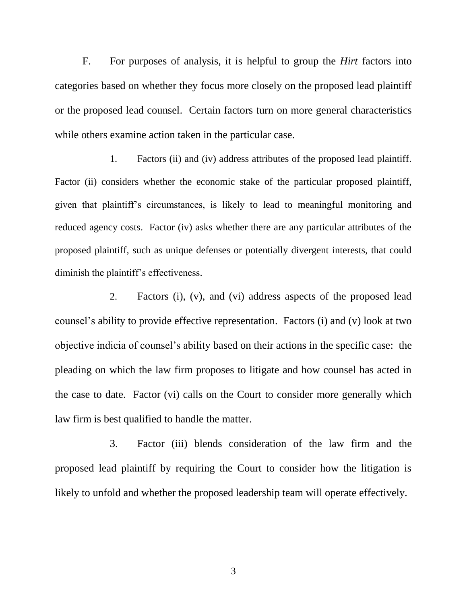F. For purposes of analysis, it is helpful to group the *Hirt* factors into categories based on whether they focus more closely on the proposed lead plaintiff or the proposed lead counsel. Certain factors turn on more general characteristics while others examine action taken in the particular case.

1. Factors (ii) and (iv) address attributes of the proposed lead plaintiff. Factor (ii) considers whether the economic stake of the particular proposed plaintiff, given that plaintiff's circumstances, is likely to lead to meaningful monitoring and reduced agency costs. Factor (iv) asks whether there are any particular attributes of the proposed plaintiff, such as unique defenses or potentially divergent interests, that could diminish the plaintiff's effectiveness.

2. Factors (i), (v), and (vi) address aspects of the proposed lead counsel's ability to provide effective representation. Factors (i) and (v) look at two objective indicia of counsel's ability based on their actions in the specific case: the pleading on which the law firm proposes to litigate and how counsel has acted in the case to date. Factor (vi) calls on the Court to consider more generally which law firm is best qualified to handle the matter.

3. Factor (iii) blends consideration of the law firm and the proposed lead plaintiff by requiring the Court to consider how the litigation is likely to unfold and whether the proposed leadership team will operate effectively.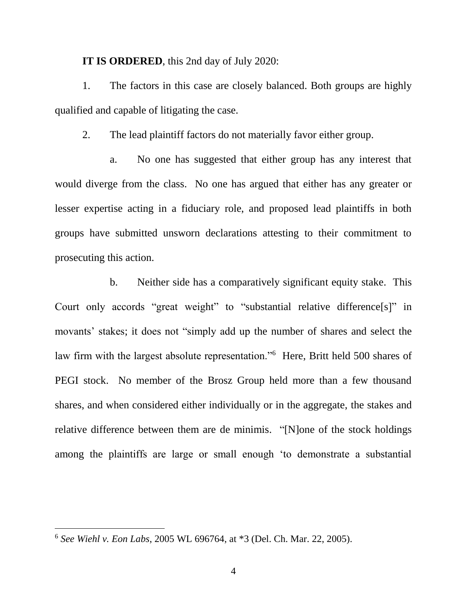## **IT IS ORDERED**, this 2nd day of July 2020:

1. The factors in this case are closely balanced. Both groups are highly qualified and capable of litigating the case.

2. The lead plaintiff factors do not materially favor either group.

a. No one has suggested that either group has any interest that would diverge from the class. No one has argued that either has any greater or lesser expertise acting in a fiduciary role, and proposed lead plaintiffs in both groups have submitted unsworn declarations attesting to their commitment to prosecuting this action.

b. Neither side has a comparatively significant equity stake. This Court only accords "great weight" to "substantial relative difference[s]" in movants' stakes; it does not "simply add up the number of shares and select the law firm with the largest absolute representation."<sup>6</sup> Here, Britt held 500 shares of PEGI stock. No member of the Brosz Group held more than a few thousand shares, and when considered either individually or in the aggregate, the stakes and relative difference between them are de minimis. "[N]one of the stock holdings among the plaintiffs are large or small enough 'to demonstrate a substantial

 $\overline{a}$ 

<sup>6</sup> *See Wiehl v. Eon Labs*, 2005 WL 696764, at \*3 (Del. Ch. Mar. 22, 2005).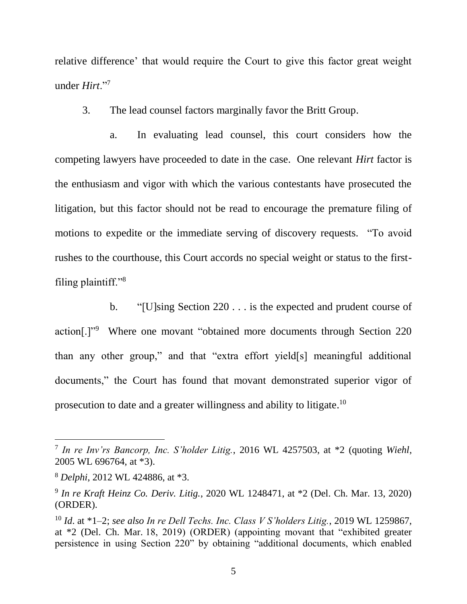relative difference' that would require the Court to give this factor great weight under *Hirt*."<sup>7</sup>

3. The lead counsel factors marginally favor the Britt Group.

a. In evaluating lead counsel, this court considers how the competing lawyers have proceeded to date in the case. One relevant *Hirt* factor is the enthusiasm and vigor with which the various contestants have prosecuted the litigation, but this factor should not be read to encourage the premature filing of motions to expedite or the immediate serving of discovery requests. "To avoid rushes to the courthouse, this Court accords no special weight or status to the firstfiling plaintiff."<sup>8</sup>

b. "[U]sing Section 220 . . . is the expected and prudent course of action[.]"<sup>9</sup> Where one movant "obtained more documents through Section 220 than any other group," and that "extra effort yield[s] meaningful additional documents," the Court has found that movant demonstrated superior vigor of prosecution to date and a greater willingness and ability to litigate.<sup>10</sup>

 $\overline{a}$ 

<sup>7</sup> *In re Inv'rs Bancorp, Inc. S'holder Litig.*, 2016 WL 4257503, at \*2 (quoting *Wiehl*, 2005 WL 696764, at \*3).

<sup>8</sup> *Delphi*, 2012 WL 424886, at \*3.

<sup>9</sup> *In re Kraft Heinz Co. Deriv. Litig.*, 2020 WL 1248471, at \*2 (Del. Ch. Mar. 13, 2020) (ORDER).

<sup>10</sup> *Id*. at \*1–2; *see also In re Dell Techs. Inc. Class V S'holders Litig.*, 2019 WL 1259867, at \*2 (Del. Ch. Mar. 18, 2019) (ORDER) (appointing movant that "exhibited greater persistence in using Section 220" by obtaining "additional documents, which enabled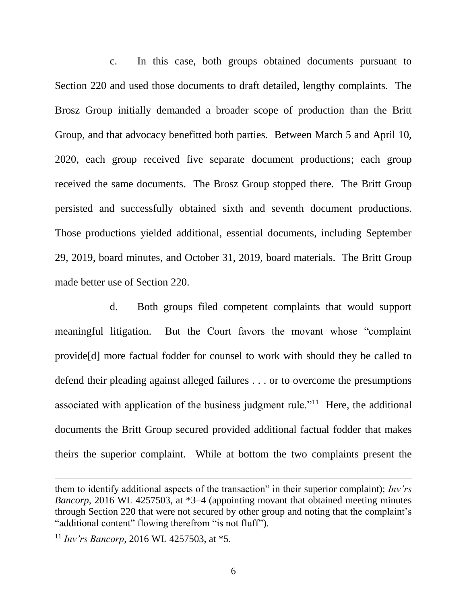c. In this case, both groups obtained documents pursuant to Section 220 and used those documents to draft detailed, lengthy complaints. The Brosz Group initially demanded a broader scope of production than the Britt Group, and that advocacy benefitted both parties. Between March 5 and April 10, 2020, each group received five separate document productions; each group received the same documents. The Brosz Group stopped there. The Britt Group persisted and successfully obtained sixth and seventh document productions. Those productions yielded additional, essential documents, including September 29, 2019, board minutes, and October 31, 2019, board materials. The Britt Group made better use of Section 220.

d. Both groups filed competent complaints that would support meaningful litigation. But the Court favors the movant whose "complaint provide[d] more factual fodder for counsel to work with should they be called to defend their pleading against alleged failures . . . or to overcome the presumptions associated with application of the business judgment rule."<sup>11</sup> Here, the additional documents the Britt Group secured provided additional factual fodder that makes theirs the superior complaint. While at bottom the two complaints present the

them to identify additional aspects of the transaction" in their superior complaint); *Inv'rs Bancorp*, 2016 WL 4257503, at \*3–4 (appointing movant that obtained meeting minutes through Section 220 that were not secured by other group and noting that the complaint's "additional content" flowing therefrom "is not fluff").

<sup>11</sup> *Inv'rs Bancorp*, 2016 WL 4257503, at \*5.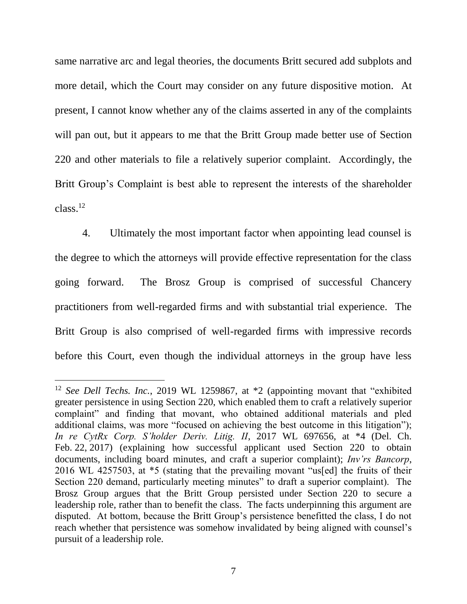same narrative arc and legal theories, the documents Britt secured add subplots and more detail, which the Court may consider on any future dispositive motion. At present, I cannot know whether any of the claims asserted in any of the complaints will pan out, but it appears to me that the Britt Group made better use of Section 220 and other materials to file a relatively superior complaint. Accordingly, the Britt Group's Complaint is best able to represent the interests of the shareholder  $class.<sup>12</sup>$ 

4. Ultimately the most important factor when appointing lead counsel is the degree to which the attorneys will provide effective representation for the class going forward. The Brosz Group is comprised of successful Chancery practitioners from well-regarded firms and with substantial trial experience. The Britt Group is also comprised of well-regarded firms with impressive records before this Court, even though the individual attorneys in the group have less

 $\overline{a}$ 

<sup>12</sup> *See Dell Techs. Inc.*, 2019 WL 1259867, at \*2 (appointing movant that "exhibited greater persistence in using Section 220, which enabled them to craft a relatively superior complaint" and finding that movant, who obtained additional materials and pled additional claims, was more "focused on achieving the best outcome in this litigation"); *In re CytRx Corp. S'holder Deriv. Litig. II*, 2017 WL 697656, at \*4 (Del. Ch. Feb. 22, 2017) (explaining how successful applicant used Section 220 to obtain documents, including board minutes, and craft a superior complaint); *Inv'rs Bancorp*, 2016 WL 4257503, at \*5 (stating that the prevailing movant "us[ed] the fruits of their Section 220 demand, particularly meeting minutes" to draft a superior complaint). The Brosz Group argues that the Britt Group persisted under Section 220 to secure a leadership role, rather than to benefit the class. The facts underpinning this argument are disputed. At bottom, because the Britt Group's persistence benefitted the class, I do not reach whether that persistence was somehow invalidated by being aligned with counsel's pursuit of a leadership role.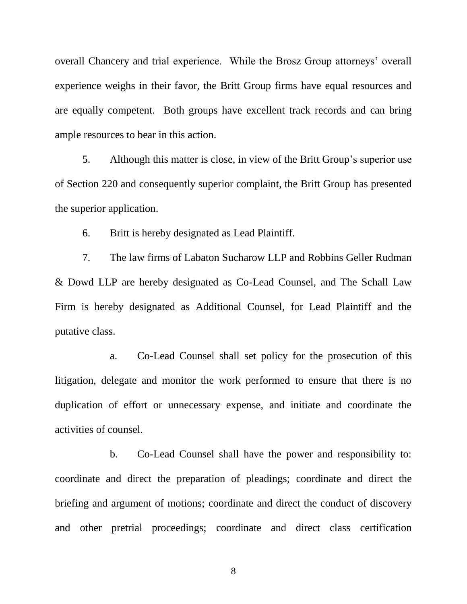overall Chancery and trial experience. While the Brosz Group attorneys' overall experience weighs in their favor, the Britt Group firms have equal resources and are equally competent. Both groups have excellent track records and can bring ample resources to bear in this action.

5. Although this matter is close, in view of the Britt Group's superior use of Section 220 and consequently superior complaint, the Britt Group has presented the superior application.

6. Britt is hereby designated as Lead Plaintiff.

7. The law firms of Labaton Sucharow LLP and Robbins Geller Rudman & Dowd LLP are hereby designated as Co-Lead Counsel, and The Schall Law Firm is hereby designated as Additional Counsel, for Lead Plaintiff and the putative class.

a. Co-Lead Counsel shall set policy for the prosecution of this litigation, delegate and monitor the work performed to ensure that there is no duplication of effort or unnecessary expense, and initiate and coordinate the activities of counsel.

b. Co-Lead Counsel shall have the power and responsibility to: coordinate and direct the preparation of pleadings; coordinate and direct the briefing and argument of motions; coordinate and direct the conduct of discovery and other pretrial proceedings; coordinate and direct class certification